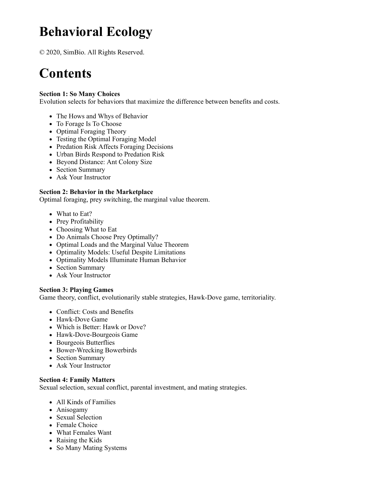# **Behavioral Ecology**

© 2020, SimBio. All Rights Reserved.

# **Contents**

### **Section 1: So Many Choices**

Evolution selects for behaviors that maximize the difference between benefits and costs.

- The Hows and Whys of Behavior
- To Forage Is To Choose
- Optimal Foraging Theory
- Testing the Optimal Foraging Model
- Predation Risk Affects Foraging Decisions
- Urban Birds Respond to Predation Risk
- Beyond Distance: Ant Colony Size
- Section Summary
- Ask Your Instructor

### **Section 2: Behavior in the Marketplace**

Optimal foraging, prey switching, the marginal value theorem.

- What to Eat?
- Prey Profitability
- Choosing What to Eat
- Do Animals Choose Prey Optimally?
- Optimal Loads and the Marginal Value Theorem
- Optimality Models: Useful Despite Limitations
- Optimality Models Illuminate Human Behavior
- Section Summary
- Ask Your Instructor

#### **Section 3: Playing Games**

Game theory, conflict, evolutionarily stable strategies, Hawk-Dove game, territoriality.

- Conflict: Costs and Benefits
- Hawk-Dove Game
- Which is Better: Hawk or Dove?
- Hawk-Dove-Bourgeois Game
- Bourgeois Butterflies
- Bower-Wrecking Bowerbirds
- Section Summary
- Ask Your Instructor

#### **Section 4: Family Matters**

Sexual selection, sexual conflict, parental investment, and mating strategies.

- All Kinds of Families
- Anisogamy
- Sexual Selection
- Female Choice
- What Females Want
- Raising the Kids
- So Many Mating Systems